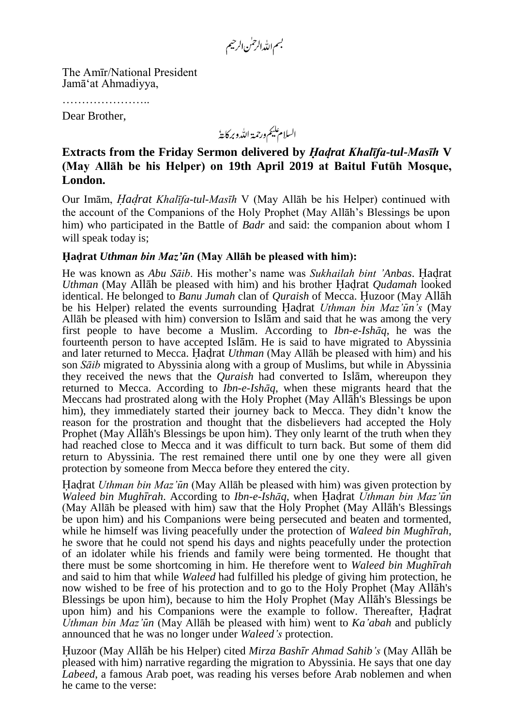بسم الله الرحمٰن الرحيم

The Amīr/National President Jamā'at Ahmadiyya,

………………………

Dear Brother,

السلام عليم ورحمة اللدو بركايةُ

# **Extracts from the Friday Sermon delivered by** *Hadrat Khalīfa-tul-Masīh* **V (May Allāh be his Helper) on 19th April 2019 at Baitul Futūh Mosque, London.**

Our Imām, *Hadrat Khalīfa-tul-Masīh* V (May Allāh be his Helper) continued with the account of the Companions of the Holy Prophet (May Allāh's Blessings be upon him) who participated in the Battle of *Badr* and said: the companion about whom I will speak today is;

### **Hadrat** *Uthman bin Maz'un* **(May Allāh be pleased with him):**

He was known as *Abu Sāib*. His mother's name was *Sukhailah bint 'Anbas*. Hadrat *Uthman* (May Allāh be pleased with him) and his brother Hadrat *Qudamah* looked identical. He belonged to *Banu Jumah* clan of *Quraish* of Mecca. Huzoor (May Allāh be his Helper) related the events surrounding Hadrat *Uthman bin Maz'un's* (May Allāh be pleased with him) conversion to Islām and said that he was among the very first people to have become a Muslim. According to *Ibn-e-Ishāq*, he was the fourteenth person to have accepted Islām. He is said to have migrated to Abyssinia and later returned to Mecca. Hadrat *Uthman* (May Allāh be pleased with him) and his son *Sāib* migrated to Abyssinia along with a group of Muslims, but while in Abyssinia they received the news that the *Quraish* had converted to Islām, whereupon they returned to Mecca. According to *Ibn-e-Ishāq*, when these migrants heard that the Meccans had prostrated along with the Holy Prophet (May Allāh's Blessings be upon him), they immediately started their journey back to Mecca. They didn't know the reason for the prostration and thought that the disbelievers had accepted the Holy Prophet (May Allāh's Blessings be upon him). They only learnt of the truth when they had reached close to Mecca and it was difficult to turn back. But some of them did return to Abyssinia. The rest remained there until one by one they were all given protection by someone from Mecca before they entered the city.

Hadrat *Uthman bin Maz'un* (May Allāh be pleased with him) was given protection by *Waleed bin Mughīrah*. According to *Ibn-e-Ishāq*, when Hadrat *Uthman bin Maz'un* (May Allāh be pleased with him) saw that the Holy Prophet (May Allāh's Blessings be upon him) and his Companions were being persecuted and beaten and tormented, while he himself was living peacefully under the protection of *Waleed bin Mughīrah*, he swore that he could not spend his days and nights peacefully under the protection of an idolater while his friends and family were being tormented. He thought that there must be some shortcoming in him. He therefore went to *Waleed bin Mughīrah* and said to him that while *Waleed* had fulfilled his pledge of giving him protection, he now wished to be free of his protection and to go to the Holy Prophet (May Allāh's Blessings be upon him), because to him the Holy Prophet (May Allāh's Blessings be upon him) and his Companions were the example to follow. Thereafter, Hadrat *Uthman bin Maz'un* (May Allāh be pleased with him) went to *Ka'abah* and publicly announced that he was no longer under *Waleed's* protection.

Huzoor (May Allāh be his Helper) cited *Mirza Bashīr Ahmad Sahib's* (May Allāh be pleased with him) narrative regarding the migration to Abyssinia. He says that one day *Labeed*, a famous Arab poet, was reading his verses before Arab noblemen and when he came to the verse: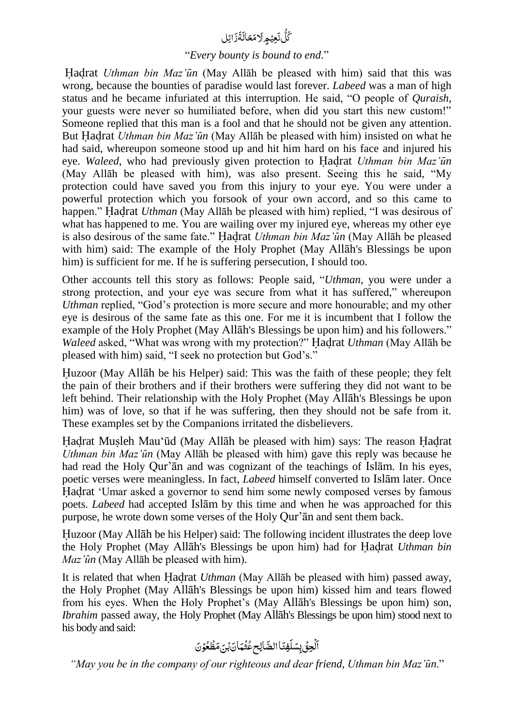#### اِئل َ ز ٍ<br>ئا ة َ نَعِیۡعِ ِلَامَحَالَ و<br>ا ل و<br>م ک

## "*Every bounty is bound to end*."

Hadrat *Uthman bin Maz'un* (May Allāh be pleased with him) said that this was wrong, because the bounties of paradise would last forever. *Labeed* was a man of high status and he became infuriated at this interruption. He said, "O people of *Quraish*, your guests were never so humiliated before, when did you start this new custom!" Someone replied that this man is a fool and that he should not be given any attention. But Hadrat *Uthman bin Maz'un* (May Allāh be pleased with him) insisted on what he had said, whereupon someone stood up and hit him hard on his face and injured his eye. *Waleed*, who had previously given protection to Hadrat *Uthman bin Maz'un* (May Allāh be pleased with him), was also present. Seeing this he said, "My protection could have saved you from this injury to your eye. You were under a powerful protection which you forsook of your own accord, and so this came to happen." Hadrat *Uthman* (May Allāh be pleased with him) replied, "I was desirous of what has happened to me. You are wailing over my injured eye, whereas my other eye is also desirous of the same fate." Hadrat *Uthman bin Maz'un* (May Allāh be pleased with him) said: The example of the Holy Prophet (May Allāh's Blessings be upon him) is sufficient for me. If he is suffering persecution, I should too.

Other accounts tell this story as follows: People said, "*Uthman*, you were under a strong protection, and your eye was secure from what it has suffered," whereupon *Uthman* replied, "God's protection is more secure and more honourable; and my other eye is desirous of the same fate as this one. For me it is incumbent that I follow the example of the Holy Prophet (May Allāh's Blessings be upon him) and his followers." *Waleed* asked, "What was wrong with my protection?" Hadrat *Uthman* (May Allāh be pleased with him) said, "I seek no protection but God's."

Huzoor (May Allāh be his Helper) said: This was the faith of these people; they felt the pain of their brothers and if their brothers were suffering they did not want to be left behind. Their relationship with the Holy Prophet (May Allāh's Blessings be upon him) was of love, so that if he was suffering, then they should not be safe from it. These examples set by the Companions irritated the disbelievers.

Hadrat Musleh Mau'ūd (May Allāh be pleased with him) says: The reason Hadrat *Uthman bin Maz'un* (May Allāh be pleased with him) gave this reply was because he had read the Holy Qur'ān and was cognizant of the teachings of Islām. In his eyes, poetic verses were meaningless. In fact, *Labeed* himself converted to Islām later. Once Hadrat 'Umar asked a governor to send him some newly composed verses by famous poets. *Labeed* had accepted Islām by this time and when he was approached for this purpose, he wrote down some verses of the Holy Qur'ān and sent them back.

Huzoor (May Allāh be his Helper) said: The following incident illustrates the deep love the Holy Prophet (May Allāh's Blessings be upon him) had for Hadrat *Uthman bin Maz'un* (May Allāh be pleased with him).

It is related that when Hadrat *Uthman* (May Allāh be pleased with him) passed away, the Holy Prophet (May Allāh's Blessings be upon him) kissed him and tears flowed from his eyes. When the Holy Prophet's (May Allāh's Blessings be upon him) son, *Ibrahim* passed away, the Holy Prophet (May Allāh's Blessings be upon him) stood next to his body and said:

### $\mathbf{r}$ ا ْ .<br>لُحِقَ بِسَلَ ب لَفِنَا الصَّالِح عُثْمَانَ بِنَ مَظُعُوْنَ

*"May you be in the company of our righteous and dear friend*, *Uthman bin Maz'un*."